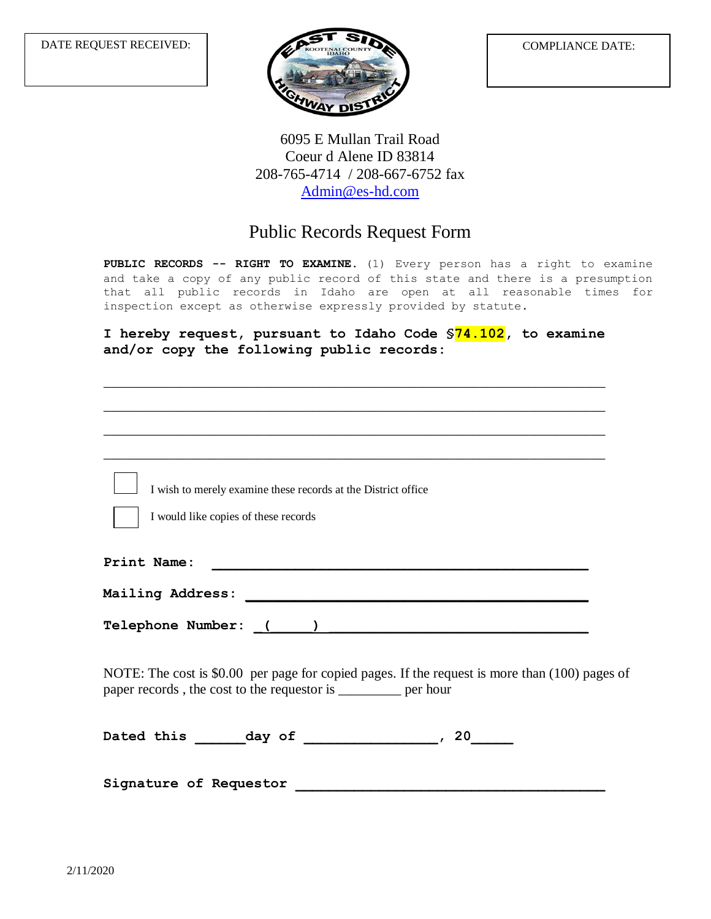

6095 E Mullan Trail Road Coeur d Alene ID 83814 208-765-4714 / 208-667-6752 fax [Admin@es-hd.com](mailto:eshd@imaxmail.net)

## Public Records Request Form

**PUBLIC RECORDS -- RIGHT TO EXAMINE.** (1) Every person has a right to examine and take a copy of any public record of this state and there is a presumption that all public records in Idaho are open at all reasonable times for inspection except as otherwise expressly provided by statute.

**I hereby request, pursuant to Idaho Code §74.102, to examine and/or copy the following public records:**

\_\_\_\_\_\_\_\_\_\_\_\_\_\_\_\_\_\_\_\_\_\_\_\_\_\_\_\_\_\_\_\_\_\_\_\_\_\_\_\_\_\_\_\_\_\_\_\_\_\_\_\_\_\_\_\_\_\_\_\_\_\_\_\_\_\_\_\_\_\_\_\_

\_\_\_\_\_\_\_\_\_\_\_\_\_\_\_\_\_\_\_\_\_\_\_\_\_\_\_\_\_\_\_\_\_\_\_\_\_\_\_\_\_\_\_\_\_\_\_\_\_\_\_\_\_\_\_\_\_\_\_\_\_\_\_\_\_\_\_\_\_\_\_\_

\_\_\_\_\_\_\_\_\_\_\_\_\_\_\_\_\_\_\_\_\_\_\_\_\_\_\_\_\_\_\_\_\_\_\_\_\_\_\_\_\_\_\_\_\_\_\_\_\_\_\_\_\_\_\_\_\_\_\_\_\_\_\_\_\_\_\_\_\_\_\_\_

\_\_\_\_\_\_\_\_\_\_\_\_\_\_\_\_\_\_\_\_\_\_\_\_\_\_\_\_\_\_\_\_\_\_\_\_\_\_\_\_\_\_\_\_\_\_\_\_\_\_\_\_\_\_\_\_\_\_\_\_\_\_\_\_\_\_\_\_\_\_\_\_

I wish to merely examine these records at the District office

I would like copies of these records

**Print Name: \_\_\_\_\_\_\_\_\_\_\_\_\_\_\_\_\_\_\_\_\_\_\_\_\_\_\_\_\_\_\_\_\_\_\_\_\_\_\_\_\_\_\_\_\_**

**Mailing Address: \_\_\_\_\_\_\_\_\_\_\_\_\_\_\_\_\_\_\_\_\_\_\_\_\_\_\_\_\_\_\_\_\_\_\_\_\_\_\_\_\_**

**Telephone Number: \_(\_\_\_\_\_) \_\_\_\_\_\_\_\_\_\_\_\_\_\_\_\_\_\_\_\_\_\_\_\_\_\_\_\_\_\_\_** 

NOTE: The cost is \$0.00 per page for copied pages. If the request is more than (100) pages of paper records , the cost to the requestor is \_\_\_\_\_\_\_\_\_ per hour

Dated this \_\_\_\_\_\_\_day of \_\_\_\_\_\_\_\_\_\_\_\_\_\_\_\_, 20\_\_\_\_\_\_\_

**Signature of Requestor \_\_\_\_\_\_\_\_\_\_\_\_\_\_\_\_\_\_\_\_\_\_\_\_\_\_\_\_\_\_\_\_\_\_\_\_\_**